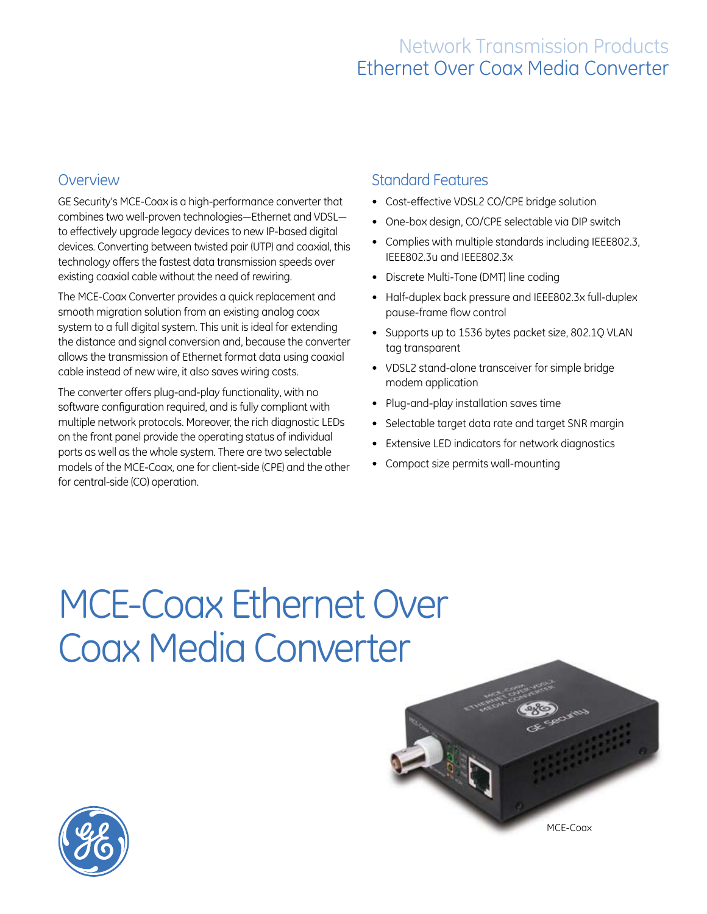## Network Transmission Products Ethernet Over Coax Media Converter

### **Overview**

GE Security's MCE-Coax is a high-performance converter that combines two well-proven technologies—Ethernet and VDSL to effectively upgrade legacy devices to new IP-based digital devices. Converting between twisted pair (UTP) and coaxial, this technology offers the fastest data transmission speeds over existing coaxial cable without the need of rewiring.

The MCE-Coax Converter provides a quick replacement and smooth migration solution from an existing analog coax system to a full digital system. This unit is ideal for extending the distance and signal conversion and, because the converter allows the transmission of Ethernet format data using coaxial cable instead of new wire, it also saves wiring costs.

The converter offers plug-and-play functionality, with no software configuration required, and is fully compliant with multiple network protocols. Moreover, the rich diagnostic LEDs on the front panel provide the operating status of individual ports as well as the whole system. There are two selectable models of the MCE-Coax, one for client-side (CPE) and the other for central-side (CO) operation.

#### Standard Features

- • Cost-effective VDSL2 CO/CPE bridge solution
- One-box design, CO/CPE selectable via DIP switch
- Complies with multiple standards including IEEE802.3, IEEE802.3u and IEEE802.3x
- Discrete Multi-Tone (DMT) line coding
- Half-duplex back pressure and IEEE802.3x full-duplex pause-frame flow control
- Supports up to 1536 bytes packet size, 802.1Q VLAN tag transparent
- • VDSL2 stand-alone transceiver for simple bridge modem application
- Plug-and-play installation saves time
- Selectable target data rate and target SNR margin
- Extensive LED indicators for network diagnostics
- Compact size permits wall-mounting

# MCE-Coax Ethernet Over Coax Media Converter